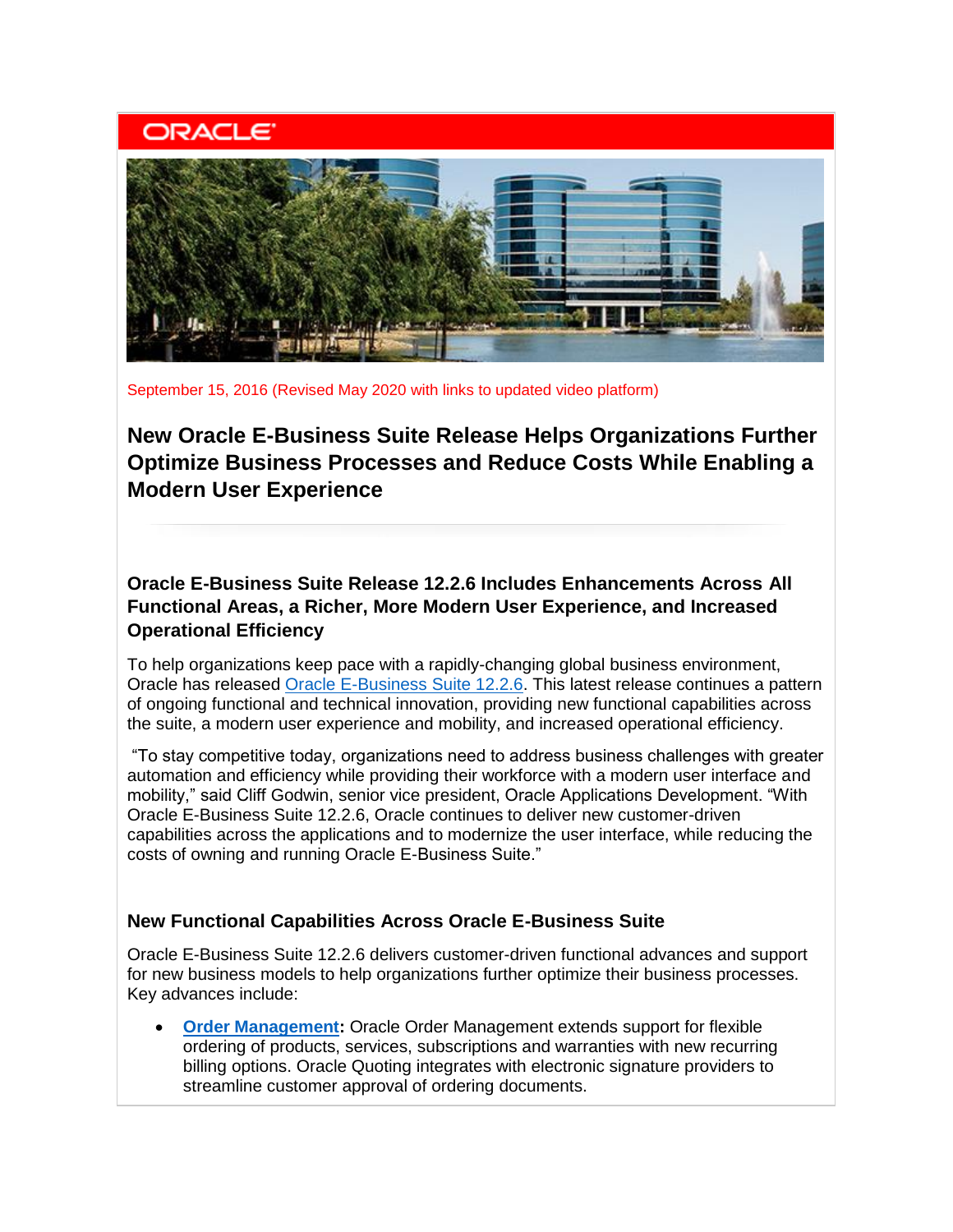# **ORACLE**



September 15, 2016 (Revised May 2020 with links to updated video platform)

**New Oracle E-Business Suite Release Helps Organizations Further Optimize Business Processes and Reduce Costs While Enabling a Modern User Experience**

**Oracle E-Business Suite Release 12.2.6 Includes Enhancements Across All Functional Areas, a Richer, More Modern User Experience, and Increased Operational Efficiency**

To help organizations keep pace with a rapidly-changing global business environment, Oracle has released [Oracle E-Business Suite 12.2.6.](https://learn.oracle.com/ols/course/50662/60175) This latest release continues a pattern of ongoing functional and technical innovation, providing new functional capabilities across the suite, a modern user experience and mobility, and increased operational efficiency.

"To stay competitive today, organizations need to address business challenges with greater automation and efficiency while providing their workforce with a modern user interface and mobility," said Cliff Godwin, senior vice president, Oracle Applications Development. "With Oracle E-Business Suite 12.2.6, Oracle continues to deliver new customer-driven capabilities across the applications and to modernize the user interface, while reducing the costs of owning and running Oracle E-Business Suite."

#### **New Functional Capabilities Across Oracle E-Business Suite**

Oracle E-Business Suite 12.2.6 delivers customer-driven functional advances and support for new business models to help organizations further optimize their business processes. Key advances include:

• **[Order Management:](https://www.oracle.com/applications/ebusiness/products.html#order)** Oracle Order Management extends support for flexible ordering of products, services, subscriptions and warranties with new recurring billing options. Oracle Quoting integrates with electronic signature providers to streamline customer approval of ordering documents.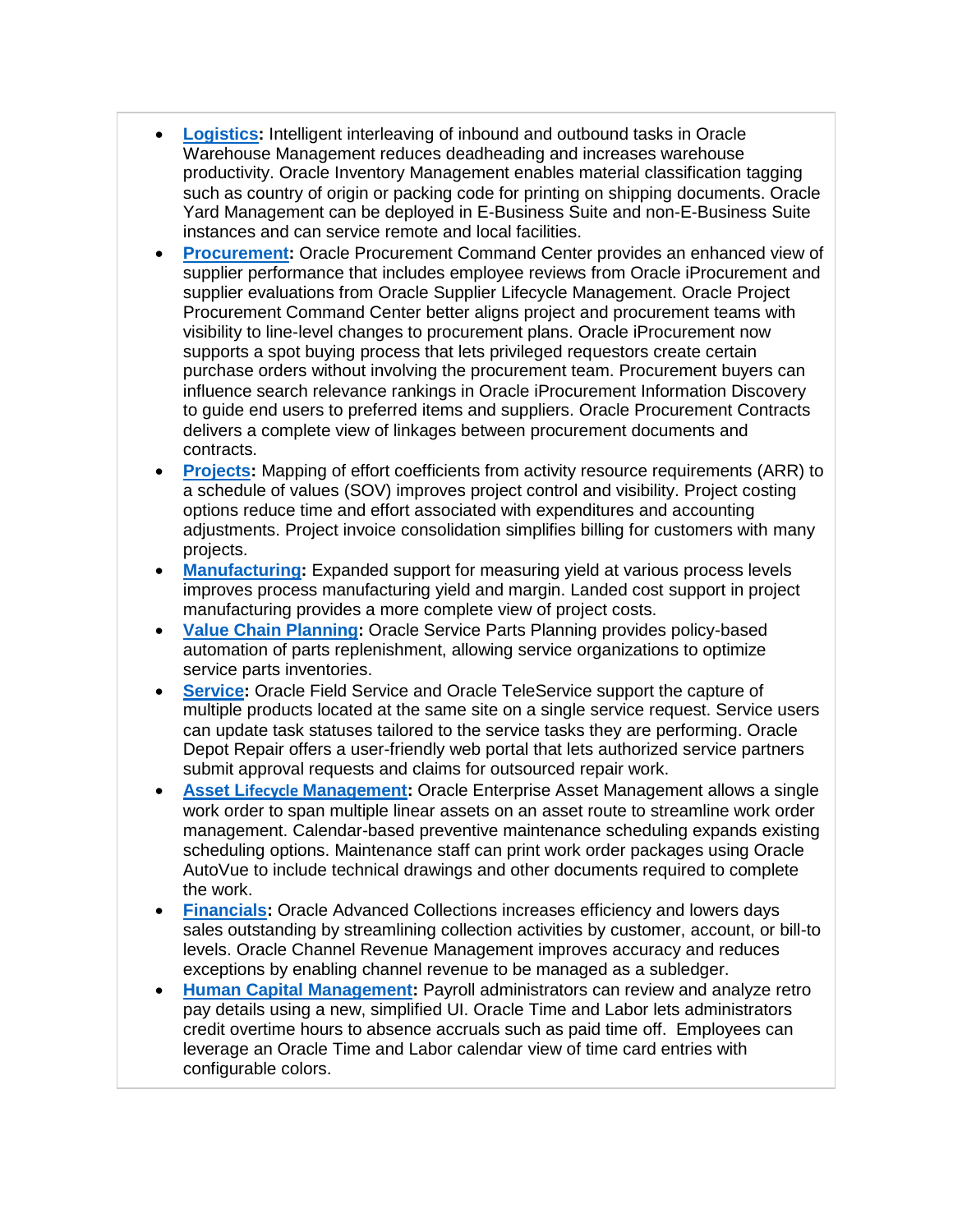- **[Logistics:](https://www.oracle.com/applications/ebusiness/products.html#logistics)** Intelligent interleaving of inbound and outbound tasks in Oracle Warehouse Management reduces deadheading and increases warehouse productivity. Oracle Inventory Management enables material classification tagging such as country of origin or packing code for printing on shipping documents. Oracle Yard Management can be deployed in E-Business Suite and non-E-Business Suite instances and can service remote and local facilities.
- **[Procurement:](https://www.oracle.com/applications/ebusiness/products.html#procurement)** Oracle Procurement Command Center provides an enhanced view of supplier performance that includes employee reviews from Oracle iProcurement and supplier evaluations from Oracle Supplier Lifecycle Management. Oracle Project Procurement Command Center better aligns project and procurement teams with visibility to line-level changes to procurement plans. Oracle iProcurement now supports a spot buying process that lets privileged requestors create certain purchase orders without involving the procurement team. Procurement buyers can influence search relevance rankings in Oracle iProcurement Information Discovery to guide end users to preferred items and suppliers. Oracle Procurement Contracts delivers a complete view of linkages between procurement documents and contracts.
- **[Projects:](https://www.oracle.com/applications/ebusiness/products.html#projects)** Mapping of effort coefficients from activity resource requirements (ARR) to a schedule of values (SOV) improves project control and visibility. Project costing options reduce time and effort associated with expenditures and accounting adjustments. Project invoice consolidation simplifies billing for customers with many projects.
- **[Manufacturing:](https://www.oracle.com/applications/ebusiness/products.html#manufacturing)** Expanded support for measuring yield at various process levels improves process manufacturing yield and margin. Landed cost support in project manufacturing provides a more complete view of project costs.
- **[Value Chain Planning:](https://www.oracle.com/applications/ebusiness/products.html)** Oracle Service Parts Planning provides policy-based automation of parts replenishment, allowing service organizations to optimize service parts inventories.
- **[Service:](https://www.oracle.com/applications/ebusiness/products.html#service)** Oracle Field Service and Oracle TeleService support the capture of multiple products located at the same site on a single service request. Service users can update task statuses tailored to the service tasks they are performing. Oracle Depot Repair offers a user-friendly web portal that lets authorized service partners submit approval requests and claims for outsourced repair work.
- **Asset Lifecycle [Management:](https://www.oracle.com/applications/ebusiness/products.html#assetlifecycle)** Oracle Enterprise Asset Management allows a single work order to span multiple linear assets on an asset route to streamline work order management. Calendar-based preventive maintenance scheduling expands existing scheduling options. Maintenance staff can print work order packages using Oracle AutoVue to include technical drawings and other documents required to complete the work.
- **[Financials:](https://www.oracle.com/applications/ebusiness/products.html#financials)** Oracle Advanced Collections increases efficiency and lowers days sales outstanding by streamlining collection activities by customer, account, or bill-to levels. Oracle Channel Revenue Management improves accuracy and reduces exceptions by enabling channel revenue to be managed as a subledger.
- **[Human Capital Management:](https://www.oracle.com/applications/ebusiness/products.html#hcm)** Payroll administrators can review and analyze retro pay details using a new, simplified UI. Oracle Time and Labor lets administrators credit overtime hours to absence accruals such as paid time off. Employees can leverage an Oracle Time and Labor calendar view of time card entries with configurable colors.